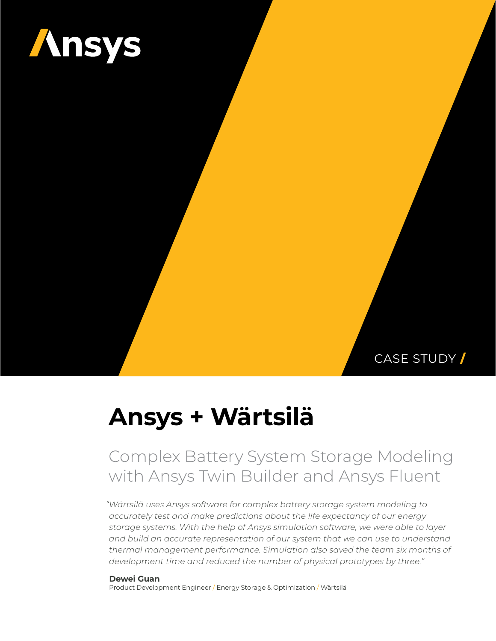

CASE STUDY **/**

# **Ansys + Wärtsilä**

## Complex Battery System Storage Modeling with Ansys Twin Builder and Ansys Fluent

*"Wärtsilä uses Ansys software for complex battery storage system modeling to accurately test and make predictions about the life expectancy of our energy storage systems. With the help of Ansys simulation software, we were able to layer and build an accurate representation of our system that we can use to understand thermal management performance. Simulation also saved the team six months of development time and reduced the number of physical prototypes by three."*

**Dewei Guan** Product Development Engineer / Energy Storage & Optimization / Wärtsilä